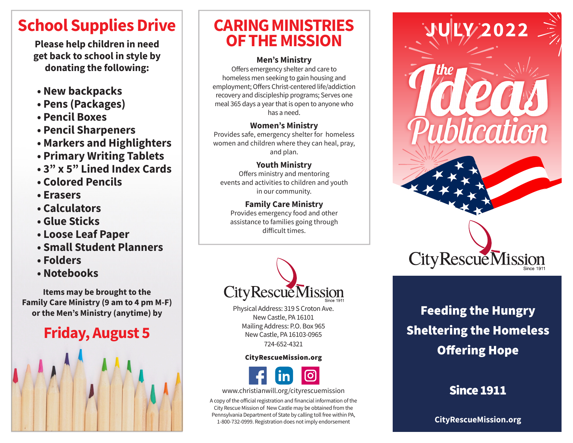# **School Supplies Drive**

**Please help children in need get back to school in style by donating the following:**

- **New backpacks**
- **Pens (Packages)**
- **Pencil Boxes**
- **Pencil Sharpeners**
- **Markers and Highlighters**
- **Primary Writing Tablets**
- **3" x 5" Lined Index Cards**
- **Colored Pencils**
- **Erasers**
- **Calculators**
- **Glue Sticks**
- **Loose Leaf Paper**
- **Small Student Planners**
- **Folders**
- **Notebooks**

**Items may be brought to the Family Care Ministry (9 am to 4 pm M-F) or the Men's Ministry (anytime) by**

# **Friday, August 5**



# **CARING MINISTRIES OF THE MISSION**

#### **Men's Ministry**

Offers emergency shelter and care to homeless men seeking to gain housing and employment; Offers Christ-centered life/addiction recovery and discipleship programs; Serves one meal 365 days a year that is open to anyone who has a need.

#### **Women's Ministry**

Provides safe, emergency shelter for homeless women and children where they can heal, pray, and plan.

### **Youth Ministry**

Offers ministry and mentoring events and activities to children and youth in our community.

### **Family Care Ministry**

Provides emergency food and other assistance to families going through difficult times.



Physical Address: 319 S Croton Ave. New Castle, PA 16101 Mailing Address: P.O. Box 965 New Castle, PA 16103-0965 724-652-4321

#### CityRescueMission.org



www.christianwill.org/cityrescuemission

A copy of the official registration and financial information of the City Rescue Mission of New Castle may be obtained from the Pennsylvania Department of State by calling toll free within PA, 1-800-732-0999. Registration does not imply endorsement



# Feeding the Hungry Sheltering the Homeless Offering Hope

## Since 1911

**CityRescueMission.org**